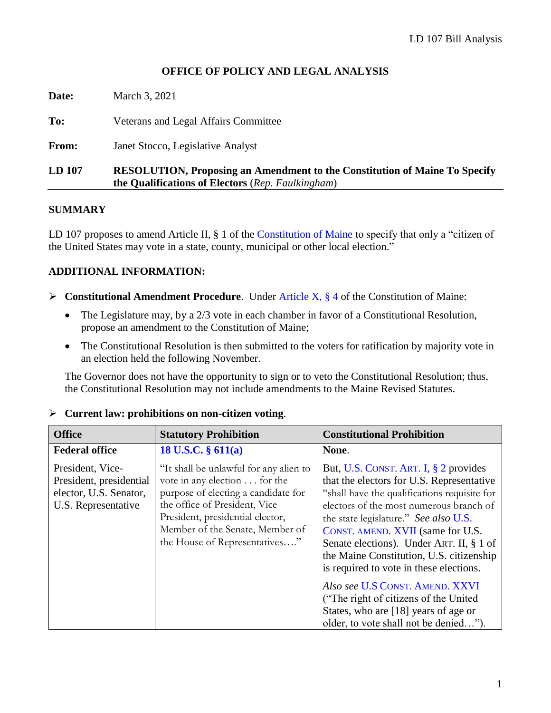# **OFFICE OF POLICY AND LEGAL ANALYSIS**

**Date:** March 3, 2021 **To:** Veterans and Legal Affairs Committee **From:** Janet Stocco, Legislative Analyst **LD 107 RESOLUTION, Proposing an Amendment to the Constitution of Maine To Specify the Qualifications of Electors** (*Rep. Faulkingham*)

#### **SUMMARY**

LD 107 proposes to amend Article II, § 1 of the [Constitution of Maine](http://legislature.maine.gov/ros/LawsOfMaine/#Const) to specify that only a "citizen of the United States may vote in a state, county, municipal or other local election."

# **ADDITIONAL INFORMATION:**

- ➢ **Constitutional Amendment Procedure**. Under [Article X, §](http://legislature.maine.gov/ros/LawsOfMaine/#Const) 4 of the Constitution of Maine:
	- The Legislature may, by a 2/3 vote in each chamber in favor of a Constitutional Resolution, propose an amendment to the Constitution of Maine;
	- The Constitutional Resolution is then submitted to the voters for ratification by majority vote in an election held the following November.

The Governor does not have the opportunity to sign or to veto the Constitutional Resolution; thus, the Constitutional Resolution may not include amendments to the Maine Revised Statutes.

| <b>Office</b>                                                                                | <b>Statutory Prohibition</b>                                                                                                                                                                                                                           | <b>Constitutional Prohibition</b>                                                                                                                                                                                                                                                                                                                                                                                                                                                                                                                             |
|----------------------------------------------------------------------------------------------|--------------------------------------------------------------------------------------------------------------------------------------------------------------------------------------------------------------------------------------------------------|---------------------------------------------------------------------------------------------------------------------------------------------------------------------------------------------------------------------------------------------------------------------------------------------------------------------------------------------------------------------------------------------------------------------------------------------------------------------------------------------------------------------------------------------------------------|
| <b>Federal office</b>                                                                        | 18 U.S.C. $§$ 611(a)                                                                                                                                                                                                                                   | None.                                                                                                                                                                                                                                                                                                                                                                                                                                                                                                                                                         |
| President, Vice-<br>President, presidential<br>elector, U.S. Senator,<br>U.S. Representative | "It shall be unlawful for any alien to<br>vote in any election for the<br>purpose of electing a candidate for<br>the office of President, Vice<br>President, presidential elector,<br>Member of the Senate, Member of<br>the House of Representatives" | But, U.S. CONST. ART. I, § 2 provides<br>that the electors for U.S. Representative<br>"shall have the qualifications requisite for<br>electors of the most numerous branch of<br>the state legislature." See also U.S.<br>CONST. AMEND. XVII (same for U.S.<br>Senate elections). Under ART. II, § 1 of<br>the Maine Constitution, U.S. citizenship<br>is required to vote in these elections.<br>Also see U.S CONST. AMEND. XXVI<br>("The right of citizens of the United")<br>States, who are [18] years of age or<br>older, to vote shall not be denied"). |

#### ➢ **Current law: prohibitions on non-citizen voting**.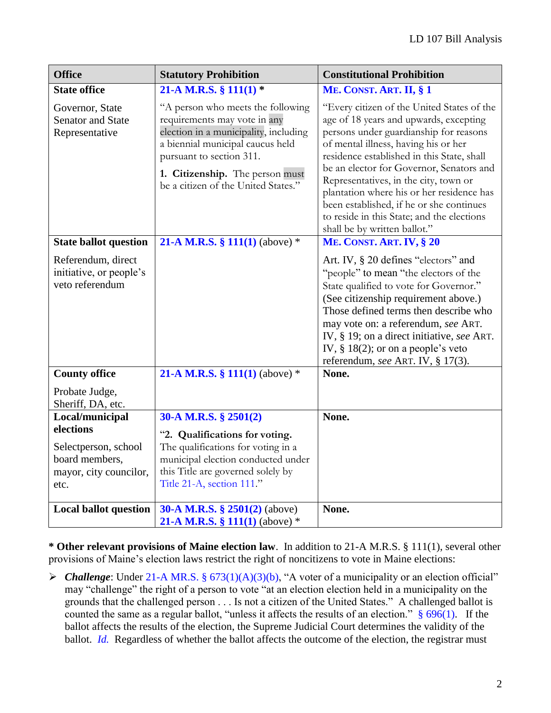| <b>Office</b>                                                                                            | <b>Statutory Prohibition</b>                                                                                                                                                                                                                         | <b>Constitutional Prohibition</b>                                                                                                                                                                                                                                                                                                                                                                                                                                                |
|----------------------------------------------------------------------------------------------------------|------------------------------------------------------------------------------------------------------------------------------------------------------------------------------------------------------------------------------------------------------|----------------------------------------------------------------------------------------------------------------------------------------------------------------------------------------------------------------------------------------------------------------------------------------------------------------------------------------------------------------------------------------------------------------------------------------------------------------------------------|
| <b>State office</b>                                                                                      | 21-A M.R.S. § 111(1) $*$                                                                                                                                                                                                                             | ME. CONST. ART. II, § 1                                                                                                                                                                                                                                                                                                                                                                                                                                                          |
| Governor, State<br><b>Senator and State</b><br>Representative                                            | "A person who meets the following<br>requirements may vote in any<br>election in a municipality, including<br>a biennial municipal caucus held<br>pursuant to section 311.<br>1. Citizenship. The person must<br>be a citizen of the United States." | "Every citizen of the United States of the<br>age of 18 years and upwards, excepting<br>persons under guardianship for reasons<br>of mental illness, having his or her<br>residence established in this State, shall<br>be an elector for Governor, Senators and<br>Representatives, in the city, town or<br>plantation where his or her residence has<br>been established, if he or she continues<br>to reside in this State; and the elections<br>shall be by written ballot." |
| <b>State ballot question</b>                                                                             | 21-A M.R.S. § 111(1) (above) $*$                                                                                                                                                                                                                     | ME. CONST. ART. IV, § 20                                                                                                                                                                                                                                                                                                                                                                                                                                                         |
| Referendum, direct<br>initiative, or people's<br>veto referendum                                         |                                                                                                                                                                                                                                                      | Art. IV, § 20 defines "electors" and<br>"people" to mean "the electors of the<br>State qualified to vote for Governor."<br>(See citizenship requirement above.)<br>Those defined terms then describe who<br>may vote on: a referendum, see ART.<br>IV, § 19; on a direct initiative, see ART.<br>IV, $§$ 18(2); or on a people's veto<br>referendum, see ART. IV, § 17(3).                                                                                                       |
| <b>County office</b><br>Probate Judge,<br>Sheriff, DA, etc.                                              | 21-A M.R.S. § 111(1) (above) $*$                                                                                                                                                                                                                     | None.                                                                                                                                                                                                                                                                                                                                                                                                                                                                            |
| Local/municipal<br>elections<br>Selectperson, school<br>board members,<br>mayor, city councilor,<br>etc. | 30-A M.R.S. § 2501(2)<br>"2. Qualifications for voting.<br>The qualifications for voting in a<br>municipal election conducted under<br>this Title are governed solely by<br>Title 21-A, section 111."                                                | None.                                                                                                                                                                                                                                                                                                                                                                                                                                                                            |
| <b>Local ballot question</b>                                                                             | 30-A M.R.S. $\S$ 2501(2) (above)<br>21-A M.R.S. § 111(1) (above) $*$                                                                                                                                                                                 | None.                                                                                                                                                                                                                                                                                                                                                                                                                                                                            |

**\* Other relevant provisions of Maine election law**. In addition to 21-A M.R.S. § 111(1), several other provisions of Maine's election laws restrict the right of noncitizens to vote in Maine elections:

➢ *Challenge*: Under 21-A MR.S. § [673\(1\)\(A\)\(3\)\(b\),](http://legislature.maine.gov/legis/statutes/21-A/title21-Asec673.html) "A voter of a municipality or an election official" may "challenge" the right of a person to vote "at an election election held in a municipality on the grounds that the challenged person . . . Is not a citizen of the United States." A challenged ballot is counted the same as a regular ballot, "unless it affects the results of an election."  $§ 696(1)$ . If the ballot affects the results of the election, the Supreme Judicial Court determines the validity of the ballot. *Id.* Regardless of whether the ballot affects the outcome of the election, the registrar must